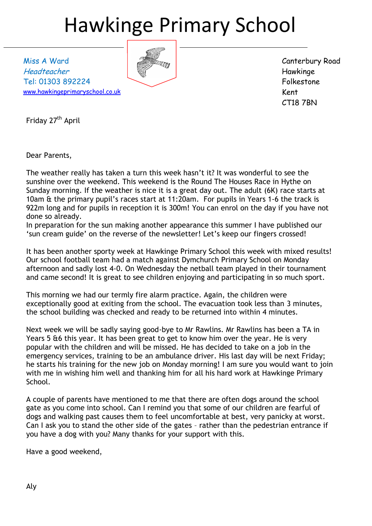# Hawkinge Primary School

Miss A Ward Headteacher Tel: 01303 892224 [www.hawkingeprimaryschool.co.uk](http://www.hawkingeprimaryschool.co.uk/)

Canterbury Road Hawkinge Folkestone Kent CT18 7BN

Friday 27<sup>th</sup> April

Dear Parents,

The weather really has taken a turn this week hasn't it? It was wonderful to see the sunshine over the weekend. This weekend is the Round The Houses Race in Hythe on Sunday morning. If the weather is nice it is a great day out. The adult (6K) race starts at 10am & the primary pupil's races start at 11:20am. For pupils in Years 1-6 the track is 922m long and for pupils in reception it is 300m! You can enrol on the day if you have not done so already.

In preparation for the sun making another appearance this summer I have published our 'sun cream guide' on the reverse of the newsletter! Let's keep our fingers crossed!

It has been another sporty week at Hawkinge Primary School this week with mixed results! Our school football team had a match against Dymchurch Primary School on Monday afternoon and sadly lost 4-0. On Wednesday the netball team played in their tournament and came second! It is great to see children enjoying and participating in so much sport.

This morning we had our termly fire alarm practice. Again, the children were exceptionally good at exiting from the school. The evacuation took less than 3 minutes, the school building was checked and ready to be returned into within 4 minutes.

Next week we will be sadly saying good-bye to Mr Rawlins. Mr Rawlins has been a TA in Years 5 &6 this year. It has been great to get to know him over the year. He is very popular with the children and will be missed. He has decided to take on a job in the emergency services, training to be an ambulance driver. His last day will be next Friday; he starts his training for the new job on Monday morning! I am sure you would want to join with me in wishing him well and thanking him for all his hard work at Hawkinge Primary School.

A couple of parents have mentioned to me that there are often dogs around the school gate as you come into school. Can I remind you that some of our children are fearful of dogs and walking past causes them to feel uncomfortable at best, very panicky at worst. Can I ask you to stand the other side of the gates – rather than the pedestrian entrance if you have a dog with you? Many thanks for your support with this.

Have a good weekend,